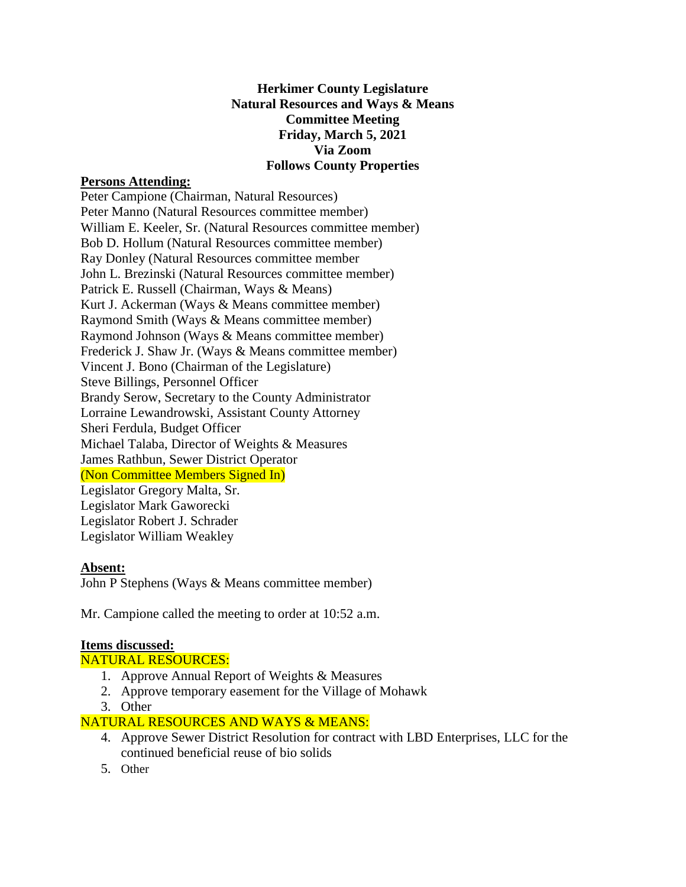## **Herkimer County Legislature Natural Resources and Ways & Means Committee Meeting Friday, March 5, 2021 Via Zoom Follows County Properties**

## **Persons Attending:**

Peter Campione (Chairman, Natural Resources) Peter Manno (Natural Resources committee member) William E. Keeler, Sr. (Natural Resources committee member) Bob D. Hollum (Natural Resources committee member) Ray Donley (Natural Resources committee member John L. Brezinski (Natural Resources committee member) Patrick E. Russell (Chairman, Ways & Means) Kurt J. Ackerman (Ways & Means committee member) Raymond Smith (Ways & Means committee member) Raymond Johnson (Ways & Means committee member) Frederick J. Shaw Jr. (Ways & Means committee member) Vincent J. Bono (Chairman of the Legislature) Steve Billings, Personnel Officer Brandy Serow, Secretary to the County Administrator Lorraine Lewandrowski, Assistant County Attorney Sheri Ferdula, Budget Officer Michael Talaba, Director of Weights & Measures James Rathbun, Sewer District Operator (Non Committee Members Signed In) Legislator Gregory Malta, Sr. Legislator Mark Gaworecki Legislator Robert J. Schrader Legislator William Weakley

#### **Absent:**

John P Stephens (Ways & Means committee member)

Mr. Campione called the meeting to order at 10:52 a.m.

#### **Items discussed:**

NATURAL RESOURCES:

- 1. Approve Annual Report of Weights & Measures
- 2. Approve temporary easement for the Village of Mohawk
- 3. Other

## NATURAL RESOURCES AND WAYS & MEANS:

- 4. Approve Sewer District Resolution for contract with LBD Enterprises, LLC for the continued beneficial reuse of bio solids
- 5. Other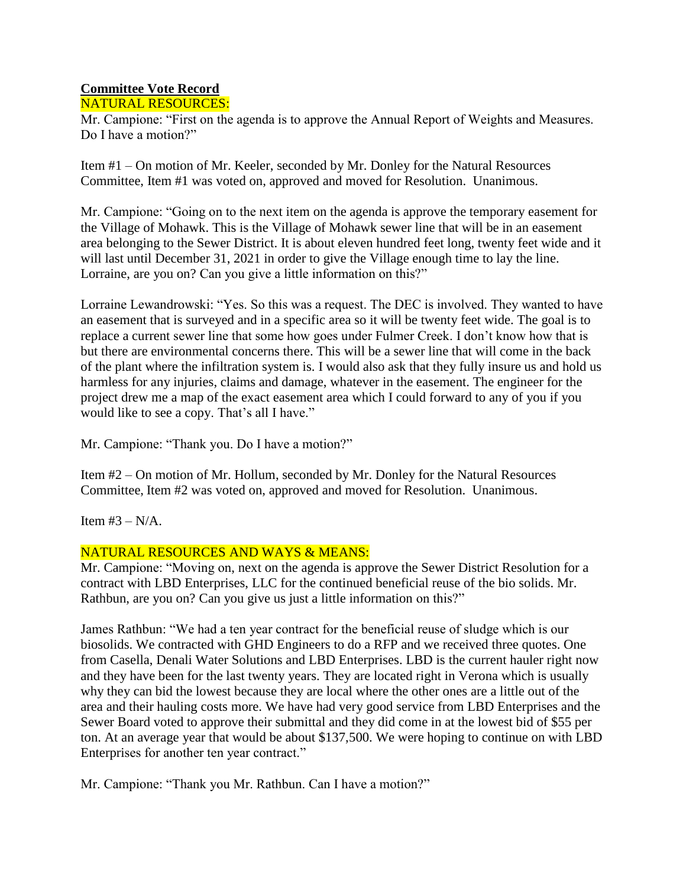# **Committee Vote Record**

NATURAL RESOURCES:

Mr. Campione: "First on the agenda is to approve the Annual Report of Weights and Measures. Do I have a motion?"

Item #1 – On motion of Mr. Keeler, seconded by Mr. Donley for the Natural Resources Committee, Item #1 was voted on, approved and moved for Resolution. Unanimous.

Mr. Campione: "Going on to the next item on the agenda is approve the temporary easement for the Village of Mohawk. This is the Village of Mohawk sewer line that will be in an easement area belonging to the Sewer District. It is about eleven hundred feet long, twenty feet wide and it will last until December 31, 2021 in order to give the Village enough time to lay the line. Lorraine, are you on? Can you give a little information on this?"

Lorraine Lewandrowski: "Yes. So this was a request. The DEC is involved. They wanted to have an easement that is surveyed and in a specific area so it will be twenty feet wide. The goal is to replace a current sewer line that some how goes under Fulmer Creek. I don't know how that is but there are environmental concerns there. This will be a sewer line that will come in the back of the plant where the infiltration system is. I would also ask that they fully insure us and hold us harmless for any injuries, claims and damage, whatever in the easement. The engineer for the project drew me a map of the exact easement area which I could forward to any of you if you would like to see a copy. That's all I have."

Mr. Campione: "Thank you. Do I have a motion?"

Item #2 – On motion of Mr. Hollum, seconded by Mr. Donley for the Natural Resources Committee, Item #2 was voted on, approved and moved for Resolution. Unanimous.

Item  $#3 - N/A$ .

# NATURAL RESOURCES AND WAYS & MEANS:

Mr. Campione: "Moving on, next on the agenda is approve the Sewer District Resolution for a contract with LBD Enterprises, LLC for the continued beneficial reuse of the bio solids. Mr. Rathbun, are you on? Can you give us just a little information on this?"

James Rathbun: "We had a ten year contract for the beneficial reuse of sludge which is our biosolids. We contracted with GHD Engineers to do a RFP and we received three quotes. One from Casella, Denali Water Solutions and LBD Enterprises. LBD is the current hauler right now and they have been for the last twenty years. They are located right in Verona which is usually why they can bid the lowest because they are local where the other ones are a little out of the area and their hauling costs more. We have had very good service from LBD Enterprises and the Sewer Board voted to approve their submittal and they did come in at the lowest bid of \$55 per ton. At an average year that would be about \$137,500. We were hoping to continue on with LBD Enterprises for another ten year contract."

Mr. Campione: "Thank you Mr. Rathbun. Can I have a motion?"